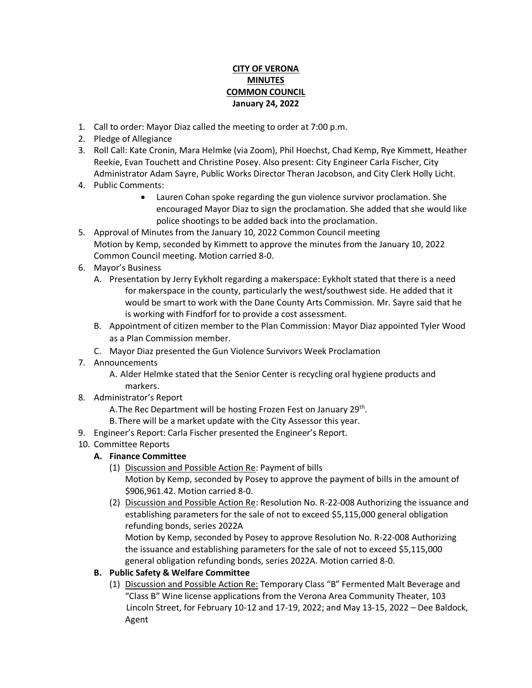## **CITY OF VERONA MINUTES COMMON COUNCIL January 24, 2022**

- 1. Call to order: Mayor Diaz called the meeting to order at 7:00 p.m.
- 2. Pledge of Allegiance
- 3. Roll Call: Kate Cronin, Mara Helmke (via Zoom), Phil Hoechst, Chad Kemp, Rye Kimmett, Heather Reekie, Evan Touchett and Christine Posey. Also present: City Engineer Carla Fischer, City Administrator Adam Sayre, Public Works Director Theran Jacobson, and City Clerk Holly Licht.
- 4. Public Comments:
	- Lauren Cohan spoke regarding the gun violence survivor proclamation. She encouraged Mayor Diaz to sign the proclamation. She added that she would like police shootings to be added back into the proclamation.
- 5. Approval of Minutes from the January 10, 2022 Common Council meeting Motion by Kemp, seconded by Kimmett to approve the minutes from the January 10, 2022 Common Council meeting. Motion carried 8-0.
- 6. Mayor's Business
	- A. Presentation by Jerry Eykholt regarding a makerspace: Eykholt stated that there is a need for makerspace in the county, particularly the west/southwest side. He added that it would be smart to work with the Dane County Arts Commission. Mr. Sayre said that he is working with Findforf for to provide a cost assessment.
	- B. Appointment of citizen member to the Plan Commission: Mayor Diaz appointed Tyler Wood as a Plan Commission member.
	- C. Mayor Diaz presented the Gun Violence Survivors Week Proclamation
- 7. Announcements
	- A. Alder Helmke stated that the Senior Center is recycling oral hygiene products and markers.
- 8. Administrator's Report
	- A. The Rec Department will be hosting Frozen Fest on January 29<sup>th</sup>.
	- B.There will be a market update with the City Assessor this year.
- 9. Engineer's Report: Carla Fischer presented the Engineer's Report.

## 10. Committee Reports

- **A. Finance Committee**
	- (1) Discussion and Possible Action Re: Payment of bills Motion by Kemp, seconded by Posey to approve the payment of bills in the amount of \$906,961.42. Motion carried 8-0.
	- (2) Discussion and Possible Action Re: Resolution No. R-22-008 Authorizing the issuance and establishing parameters for the sale of not to exceed \$5,115,000 general obligation refunding bonds, series 2022A Motion by Kemp, seconded by Posey to approve Resolution No. R-22-008 Authorizing the issuance and establishing parameters for the sale of not to exceed \$5,115,000
	- general obligation refunding bonds, series 2022A. Motion carried 8-0.
- **B. Public Safety & Welfare Committee** 
	- (1) Discussion and Possible Action Re: Temporary Class "B" Fermented Malt Beverage and "Class B" Wine license applications from the Verona Area Community Theater, 103 Lincoln Street, for February 10-12 and 17-19, 2022; and May 13-15, 2022 – Dee Baldock, Agent